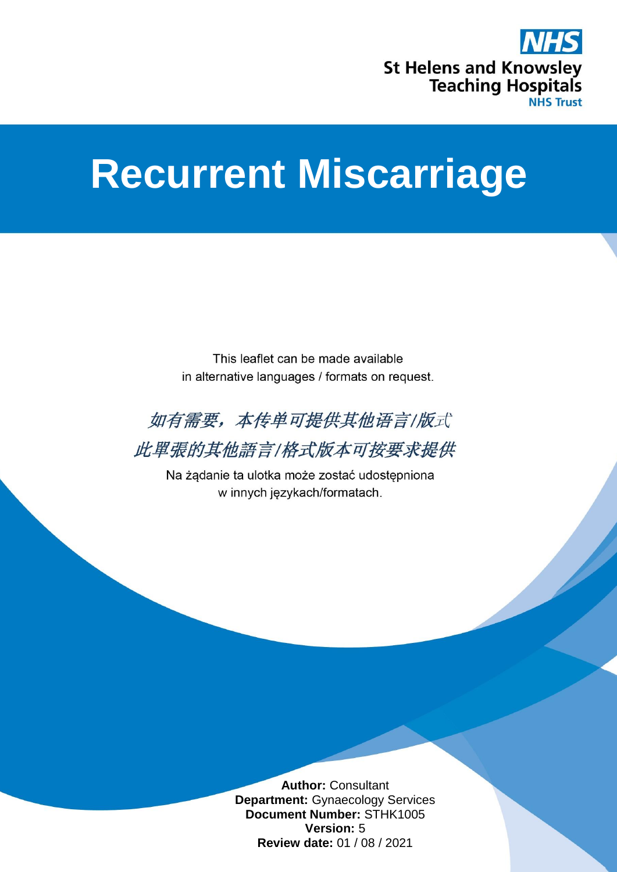

# **Recurrent Miscarriage**

This leaflet can be made available in alternative languages / formats on request.



此單張的其他語言/格式版本可按要求提供

Na żądanie ta ulotka może zostać udostępniona w innych językach/formatach.

> **Author:** Consultant **Department:** Gynaecology Services **Document Number:** STHK1005 **Version:** 5 **Review date:** 01 / 08 / 2021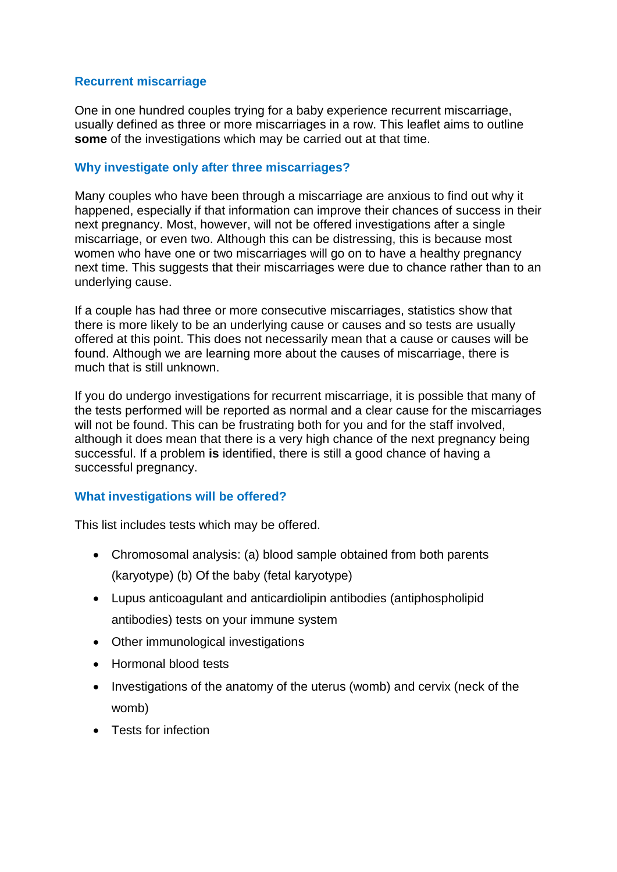# **Recurrent miscarriage**

One in one hundred couples trying for a baby experience recurrent miscarriage, usually defined as three or more miscarriages in a row. This leaflet aims to outline **some** of the investigations which may be carried out at that time.

# **Why investigate only after three miscarriages?**

Many couples who have been through a miscarriage are anxious to find out why it happened, especially if that information can improve their chances of success in their next pregnancy. Most, however, will not be offered investigations after a single miscarriage, or even two. Although this can be distressing, this is because most women who have one or two miscarriages will go on to have a healthy pregnancy next time. This suggests that their miscarriages were due to chance rather than to an underlying cause.

If a couple has had three or more consecutive miscarriages, statistics show that there is more likely to be an underlying cause or causes and so tests are usually offered at this point. This does not necessarily mean that a cause or causes will be found. Although we are learning more about the causes of miscarriage, there is much that is still unknown.

If you do undergo investigations for recurrent miscarriage, it is possible that many of the tests performed will be reported as normal and a clear cause for the miscarriages will not be found. This can be frustrating both for you and for the staff involved, although it does mean that there is a very high chance of the next pregnancy being successful. If a problem **is** identified, there is still a good chance of having a successful pregnancy.

# **What investigations will be offered?**

This list includes tests which may be offered.

- Chromosomal analysis: (a) blood sample obtained from both parents (karyotype) (b) Of the baby (fetal karyotype)
- Lupus anticoagulant and anticardiolipin antibodies (antiphospholipid antibodies) tests on your immune system
- Other immunological investigations
- Hormonal blood tests
- Investigations of the anatomy of the uterus (womb) and cervix (neck of the womb)
- Tests for infection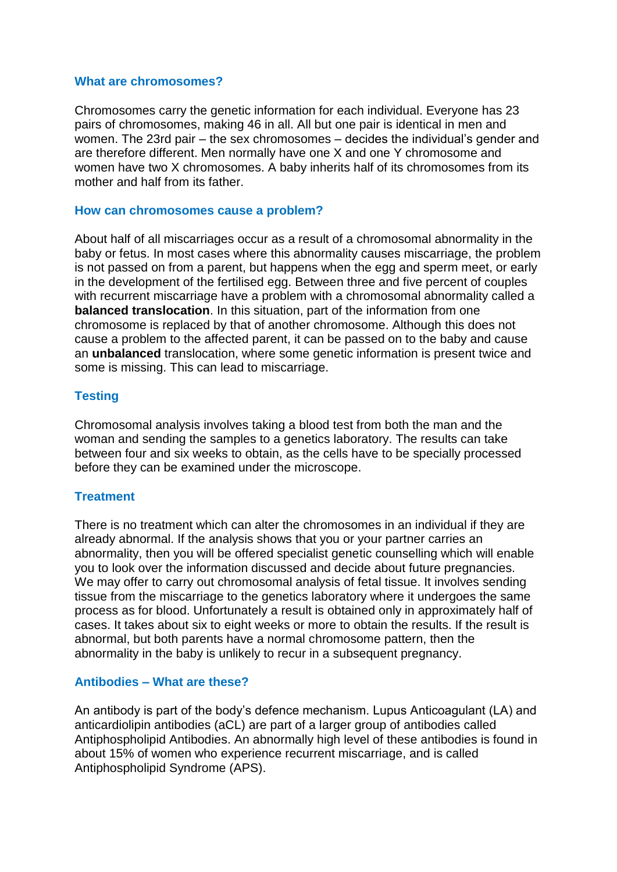### **What are chromosomes?**

Chromosomes carry the genetic information for each individual. Everyone has 23 pairs of chromosomes, making 46 in all. All but one pair is identical in men and women. The 23rd pair – the sex chromosomes – decides the individual's gender and are therefore different. Men normally have one X and one Y chromosome and women have two X chromosomes. A baby inherits half of its chromosomes from its mother and half from its father.

## **How can chromosomes cause a problem?**

About half of all miscarriages occur as a result of a chromosomal abnormality in the baby or fetus. In most cases where this abnormality causes miscarriage, the problem is not passed on from a parent, but happens when the egg and sperm meet, or early in the development of the fertilised egg. Between three and five percent of couples with recurrent miscarriage have a problem with a chromosomal abnormality called a **balanced translocation**. In this situation, part of the information from one chromosome is replaced by that of another chromosome. Although this does not cause a problem to the affected parent, it can be passed on to the baby and cause an **unbalanced** translocation, where some genetic information is present twice and some is missing. This can lead to miscarriage.

## **Testing**

Chromosomal analysis involves taking a blood test from both the man and the woman and sending the samples to a genetics laboratory. The results can take between four and six weeks to obtain, as the cells have to be specially processed before they can be examined under the microscope.

#### **Treatment**

There is no treatment which can alter the chromosomes in an individual if they are already abnormal. If the analysis shows that you or your partner carries an abnormality, then you will be offered specialist genetic counselling which will enable you to look over the information discussed and decide about future pregnancies. We may offer to carry out chromosomal analysis of fetal tissue. It involves sending tissue from the miscarriage to the genetics laboratory where it undergoes the same process as for blood. Unfortunately a result is obtained only in approximately half of cases. It takes about six to eight weeks or more to obtain the results. If the result is abnormal, but both parents have a normal chromosome pattern, then the abnormality in the baby is unlikely to recur in a subsequent pregnancy.

# **Antibodies – What are these?**

An antibody is part of the body's defence mechanism. Lupus Anticoagulant (LA) and anticardiolipin antibodies (aCL) are part of a larger group of antibodies called Antiphospholipid Antibodies. An abnormally high level of these antibodies is found in about 15% of women who experience recurrent miscarriage, and is called Antiphospholipid Syndrome (APS).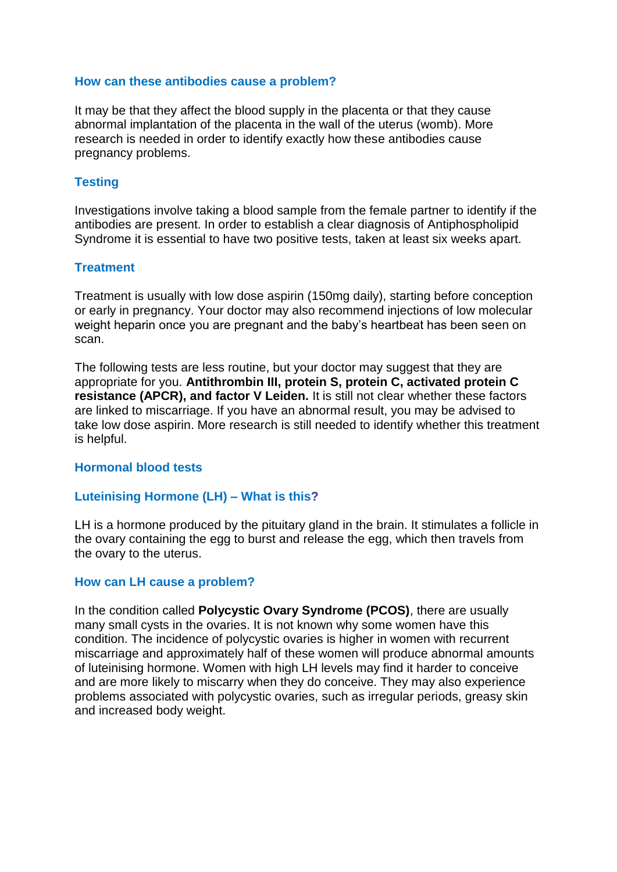### **How can these antibodies cause a problem?**

It may be that they affect the blood supply in the placenta or that they cause abnormal implantation of the placenta in the wall of the uterus (womb). More research is needed in order to identify exactly how these antibodies cause pregnancy problems.

# **Testing**

Investigations involve taking a blood sample from the female partner to identify if the antibodies are present. In order to establish a clear diagnosis of Antiphospholipid Syndrome it is essential to have two positive tests, taken at least six weeks apart.

## **Treatment**

Treatment is usually with low dose aspirin (150mg daily), starting before conception or early in pregnancy. Your doctor may also recommend injections of low molecular weight heparin once you are pregnant and the baby's heartbeat has been seen on scan.

The following tests are less routine, but your doctor may suggest that they are appropriate for you. **Antithrombin III, protein S, protein C, activated protein C resistance (APCR), and factor V Leiden.** It is still not clear whether these factors are linked to miscarriage. If you have an abnormal result, you may be advised to take low dose aspirin. More research is still needed to identify whether this treatment is helpful.

# **Hormonal blood tests**

#### **Luteinising Hormone (LH) – What is this?**

LH is a hormone produced by the pituitary gland in the brain. It stimulates a follicle in the ovary containing the egg to burst and release the egg, which then travels from the ovary to the uterus.

#### **How can LH cause a problem?**

In the condition called **Polycystic Ovary Syndrome (PCOS)**, there are usually many small cysts in the ovaries. It is not known why some women have this condition. The incidence of polycystic ovaries is higher in women with recurrent miscarriage and approximately half of these women will produce abnormal amounts of luteinising hormone. Women with high LH levels may find it harder to conceive and are more likely to miscarry when they do conceive. They may also experience problems associated with polycystic ovaries, such as irregular periods, greasy skin and increased body weight.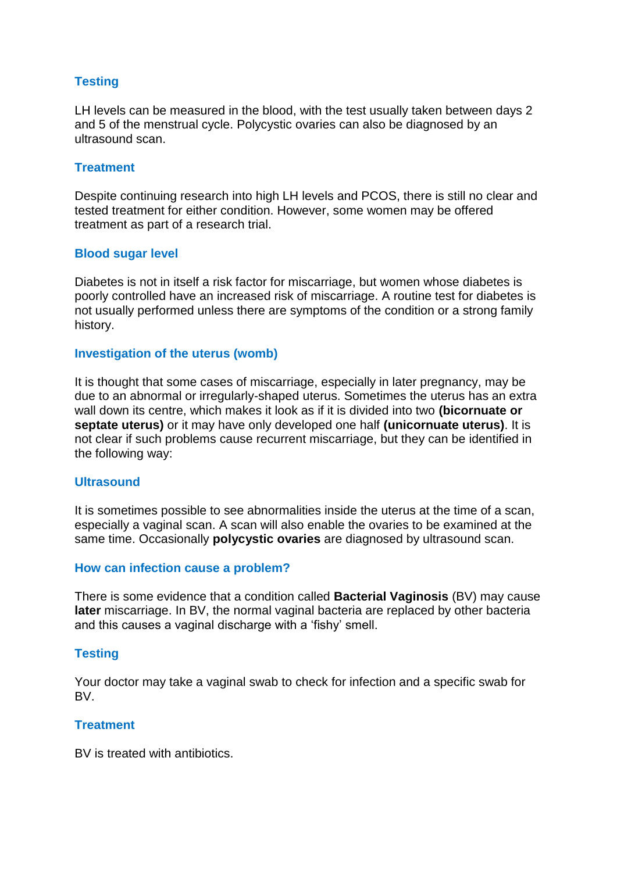# **Testing**

LH levels can be measured in the blood, with the test usually taken between days 2 and 5 of the menstrual cycle. Polycystic ovaries can also be diagnosed by an ultrasound scan.

#### **Treatment**

Despite continuing research into high LH levels and PCOS, there is still no clear and tested treatment for either condition. However, some women may be offered treatment as part of a research trial.

## **Blood sugar level**

Diabetes is not in itself a risk factor for miscarriage, but women whose diabetes is poorly controlled have an increased risk of miscarriage. A routine test for diabetes is not usually performed unless there are symptoms of the condition or a strong family history.

## **Investigation of the uterus (womb)**

It is thought that some cases of miscarriage, especially in later pregnancy, may be due to an abnormal or irregularly-shaped uterus. Sometimes the uterus has an extra wall down its centre, which makes it look as if it is divided into two **(bicornuate or septate uterus)** or it may have only developed one half **(unicornuate uterus)**. It is not clear if such problems cause recurrent miscarriage, but they can be identified in the following way:

## **Ultrasound**

It is sometimes possible to see abnormalities inside the uterus at the time of a scan, especially a vaginal scan. A scan will also enable the ovaries to be examined at the same time. Occasionally **polycystic ovaries** are diagnosed by ultrasound scan.

#### **How can infection cause a problem?**

There is some evidence that a condition called **Bacterial Vaginosis** (BV) may cause **later** miscarriage. In BV, the normal vaginal bacteria are replaced by other bacteria and this causes a vaginal discharge with a 'fishy' smell.

# **Testing**

Your doctor may take a vaginal swab to check for infection and a specific swab for BV.

# **Treatment**

BV is treated with antibiotics.